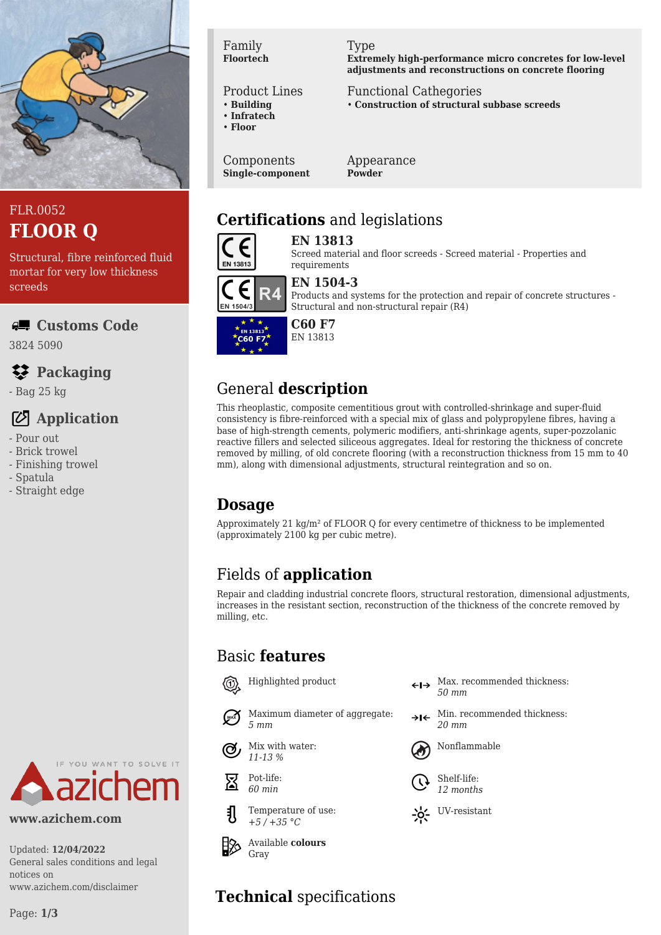

#### FLR.0052 **FLOOR Q**

Structural, fibre reinforced fluid mortar for very low thickness screeds

**Customs Code**

3824 5090

## **Packaging**

- Bag 25 kg

#### **Application**

- Pour out
- Brick trowel
- Finishing trowel
- Spatula
- Straight edge



#### Product Lines

- **Building**
- **Infratech**
- **Floor**

Components **Single-component** Appearance **Powder**

Functional Cathegories

Type

### **Certifications** and legislations



**EN 13813** Screed material and floor screeds - Screed material - Properties and



#### **EN 1504-3**

requirements

Products and systems for the protection and repair of concrete structures - Structural and non-structural repair (R4)

**Extremely high-performance micro concretes for low-level adjustments and reconstructions on concrete flooring**

• **Construction of structural subbase screeds**



#### EN 13813

## General **description**

This rheoplastic, composite cementitious grout with controlled-shrinkage and super-fluid consistency is fibre-reinforced with a special mix of glass and polypropylene fibres, having a base of high-strength cements, polymeric modifiers, anti-shrinkage agents, super-pozzolanic reactive fillers and selected siliceous aggregates. Ideal for restoring the thickness of concrete removed by milling, of old concrete flooring (with a reconstruction thickness from 15 mm to 40 mm), along with dimensional adjustments, structural reintegration and so on.

#### **Dosage**

Approximately 21  $\text{kg/m}^2$  of FLOOR O for every centimetre of thickness to be implemented (approximately 2100 kg per cubic metre).

## Fields of **application**

Repair and cladding industrial concrete floors, structural restoration, dimensional adjustments, increases in the resistant section, reconstruction of the thickness of the concrete removed by milling, etc.

#### Basic **features**



Maximum diameter of aggregate:



Pot-life: 冨 *60 min*



Available **colours** Gray

- Highlighted product  $\longleftrightarrow$  Max. recommended thickness: *50 mm*
	- $\rightarrow$ I $\leftarrow$  Min. recommended thickness: *20 mm*





Shelf-life: *12 months*



# **Technical** specifications

notices on

**www.azichem.com**

General sales conditions and legal

YOU WANT TO SOLVE IT

www.azichem.com/disclaimer

Updated: **12/04/2022**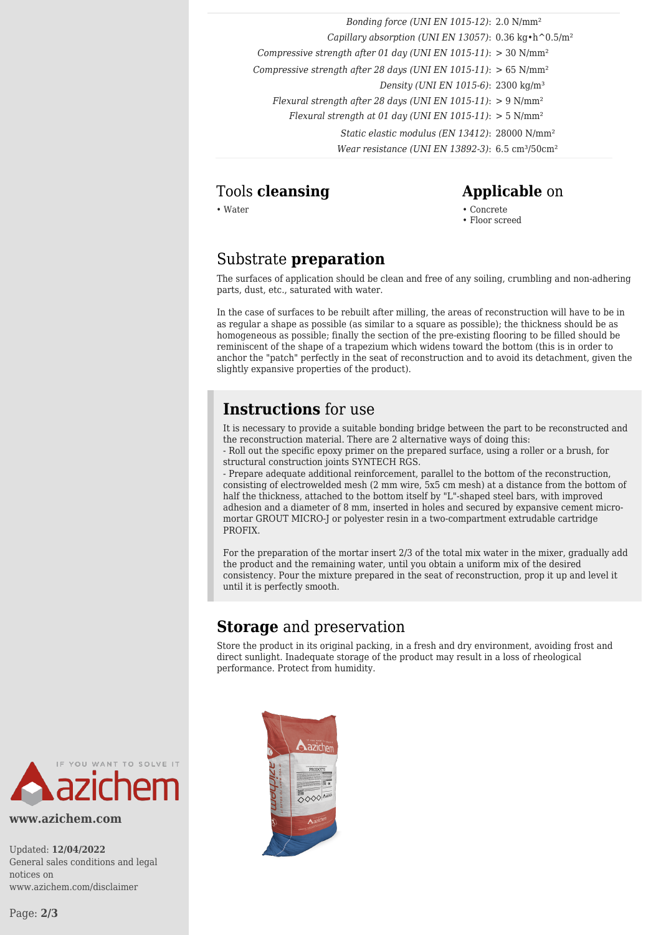*Bonding force (UNI EN 1015-12)*: 2.0 N/mm² *Capillary absorption (UNI EN 13057)*: 0.36 kg•h^0.5/m² *Compressive strength after 01 day (UNI EN 1015-11)*: > 30 N/mm² *Compressive strength after 28 days (UNI EN 1015-11)*: > 65 N/mm² *Density (UNI EN 1015-6)*: 2300 kg/m³ *Flexural strength after 28 days (UNI EN 1015-11)*: > 9 N/mm² *Flexural strength at 01 day (UNI EN 1015-11)*: > 5 N/mm² *Static elastic modulus (EN 13412)*: 28000 N/mm² *Wear resistance (UNI EN 13892-3)*: 6.5 cm<sup>3</sup>/50cm<sup>2</sup>

#### Tools **cleansing Applicable** on

• Water • Concrete • Floor screed

#### Substrate **preparation**

The surfaces of application should be clean and free of any soiling, crumbling and non-adhering parts, dust, etc., saturated with water.

In the case of surfaces to be rebuilt after milling, the areas of reconstruction will have to be in as regular a shape as possible (as similar to a square as possible); the thickness should be as homogeneous as possible; finally the section of the pre-existing flooring to be filled should be reminiscent of the shape of a trapezium which widens toward the bottom (this is in order to anchor the "patch" perfectly in the seat of reconstruction and to avoid its detachment, given the slightly expansive properties of the product).

#### **Instructions** for use

It is necessary to provide a suitable bonding bridge between the part to be reconstructed and the reconstruction material. There are 2 alternative ways of doing this:

- Roll out the specific epoxy primer on the prepared surface, using a roller or a brush, for structural construction joints SYNTECH RGS.

- Prepare adequate additional reinforcement, parallel to the bottom of the reconstruction, consisting of electrowelded mesh (2 mm wire, 5x5 cm mesh) at a distance from the bottom of half the thickness, attached to the bottom itself by "L"-shaped steel bars, with improved adhesion and a diameter of 8 mm, inserted in holes and secured by expansive cement micromortar GROUT MICRO-J or polyester resin in a two-compartment extrudable cartridge PROFIX.

For the preparation of the mortar insert 2/3 of the total mix water in the mixer, gradually add the product and the remaining water, until you obtain a uniform mix of the desired consistency. Pour the mixture prepared in the seat of reconstruction, prop it up and level it until it is perfectly smooth.

#### **Storage** and preservation

Store the product in its original packing, in a fresh and dry environment, avoiding frost and direct sunlight. Inadequate storage of the product may result in a loss of rheological performance. Protect from humidity.



**www.azichem.com**

Updated: **12/04/2022** General sales conditions and legal notices on www.azichem.com/disclaimer